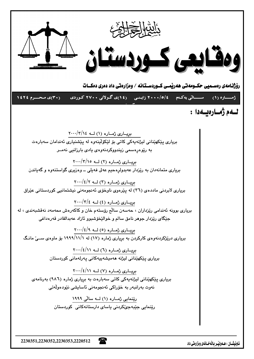

2230351.2230352.2230353.2220512

ناونيشــان : هــهوليْــر بـالْهخــانهى ومزارهتى داد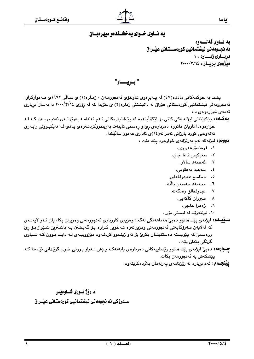

## به نساوي خسواي به خشسندهو ميهرهبسان

ىه نــاوى گەنــــەوە ئه نجــومهني نيشتمـانيي كوردســـتـاني عيْــراق ىريسارى ژەسسارە ١٠ میْژووي بريسار : ٢٠٠٠/٣/١٤

" بـريــــار"

پشت به حوکمهکانی مادده(٤٧) له پـهيږهوی نـاوخوّی ئهنجوومـهن ، ژمـاره(١) ی سـالّی ١٩٩٢ی هـهموارکراو، ئهنجوومهنی نیشتمانیی کوردستانی عیّراق له دانیشتنی ژماره(۲) ی خوّیدا که له روّژی ۲۰۰۰/۳/۱٤ دا بهسترا بریاری ئەمەي خوارەوەي دا:

**يهگــهم:** پێکهێناني ليژنهپهکي کاتي بۆ لێکۆڵپنەوه له پێشنيارهکاني ئـهم ئەندامـه بەرێزانـهي ئەنجوومـەن کـه لـه خوارهوهدا ناویان هاتووه دهربارهی رئ و رهسمی تایبهت بهزیندووکردنـهوهی یـادی لـه دایکبـوونی رابـهری نەتەوەيى كورد بارزانى نەمر لە(١٤)ى ئادارى ھەموو سالٽِكدا.

دوومم: ليژنه که لهم بهريزانهي خوارهوه ييّك ديّت :

- ۰۱ فرەنسۆ ھەرىرى.
- ٢. سەركىس ئاغا جان.
	- ۰۳ ئەجمەد سالار.
	- ٤. سەعيد يەعقوبى.
- ٥. د.ناسح عەبدولغەڧور
- ٦. محەمەد حەسەن بالتە.
	- ۰۷ عبدولخالق زەنگەنە.
		- ۰۸ سپروان کاکهیی.
			- ٩. زەھرا حاجى.
- ۰۱۰ نوێنەرێك له ليست*ى* مۆر .

**ســيْيــهم:** ليژنهی پێك **م**اتوو دهبيّ ههماههنگي لهگهلّ وهزيری كاروباری ئهنجوومهني وهزيران بكا، يان ئـهو لايهنـهی كه لهلايەن سەرۆكايەتى ئەنجوومەنى وەزيرانەوە تـەخويل كـراوە بـۆ گەيـشتن بـە باشـترين شـێواز بـۆ رئ ورهسميٰ که پنويسته دهستنيشان بکريٰ بوْ ئەو زينـدوو کردنــهوه مێژووپيــهي لــه دايـك بـوون کــه شــياوي گرنگی پێدان بێت.

چــوارهم: دهبيّ ليژنهي بيّك هاتوو ريّنماييهكاني دهربارهي بابهتهكه پــيش تــهواو بـووني خـولي گرييداني ئيستا كـه يێشكەش بە ئەنجوومەن بكات.

**بينجــهم:** ئەم بريارە لە رۆژنامەي پەرلەمان بلاّودەكريّتەوە.

د.رۆژنسورى شساوەيس ســهرۆکی ئه نجومەنی نیشتمانیی کوردستانی عیــراق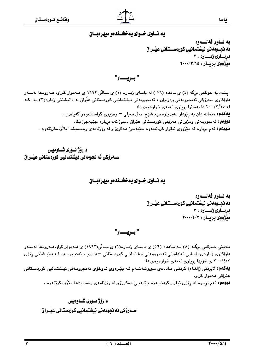

#### به نساوی خسوای به خشسندهو میهرهبسان

ىه نــاوى گەنــــەوە ئه نجــومهني نيشتمـانيي كوردســـتـاني عيْــراق ىريسارى ژەسسارە : ۲ مێژووي بريسار : ٧٠٠٠/٣/١٥

" بريـــار"

پشت به حوکمی برگه (٤) ی مادده (٥٦ ) له ياسای ژماره (١) ی سـالّی ١٩٩٢ ی هـهموار کـراو، هـهروهها لهسـهر داواکاري سەرۆکى ئەنجوومەنى وەزيران ، ئەنجوومەنى نېشتمانىي كوردستانى عيّراق لە دانيشتنى ژمارە(٣) يـدا كـه له ۲۰۰۰/۳/۱۵ دا بهسترا بریاری ئهمهی خوارهوهیدا: **یهکهم:** متمانه دان به رِی٘زدار عهبدولرهحیم شَیٚخ عهلی فهیلی <sup>—</sup> وهزیری گواستنهوهو گهیاندن . **دوومم:** ئەنجوومەنى وەزيرانى ھەرپمى كوردستانى عيّراق دەبيّ ئەم بريارە جيّبەجيّ بكا **سيپيهم:** ئهم برياره له مێژووي ئيقرار کردنيپهوه جێبهجيّ دهکريّ و له رۆژنامهي رەسميشدا بلاّودهکرێتهوه .

د.رۆژ نـوري شـاوەبس سـەرۆكى ئە نحومەنى نىشتمانىي كوردستانى عىـْراق

#### به نساوی خسوای به خشسندهو میهرهبسان

به نساوي گه نسسهوه ئه نجــومهني نيشتمـانيي كوردســـتـاني عيْــراق بريــاری ژمـــاره : ۳ میْژووي بريسار : ۲۰۰۰/٤/۲۰۰۰

بـهینی حـوکمی برگـه (۸) لـه مـادده (٥٦) ی یاسـای ژمـاره(۱) ی سـالّی(۱۹۹۲) ی هـهموار کراو،هـهروهها لهسـهر داواکاري ژمارەي ياسايي ئەندامانى ئەنجوومەنى نېشتمانيى کوردستانى =عێراق ، ئەنجوومـەن لـە دانپىشتنى رۆژى ۲۰۰۰/٤/۲ ی خۆیدا بریاری ئهمهی خوارهوهی دا: **یهکهم:** لابردنی (إلغـاء) کردنـی مـاددهى سىوشەشـهم لـه پێـرهوى نـاوخۆى ئەنجوومـەنى نيـشتمانيى کوردسـتانى عٽراقي ههموار کراو. **دوومم:** ئهم برياره له رۆژى ئيقرار كردنييەوه جێبەجى دەكرى و له رۆژنامەي رەسمىشدا بلاّودەكرێتەوە .

#### د.رۆژنـوري شــاوەىس

سـهروْکي ئه نجومهني نيشتمانيي کوردستاني عيْــراق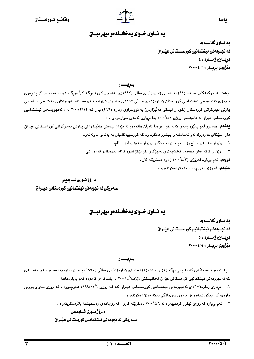

## به نساوی خسوای به خشسندهو میهرهبسان

ىه نــاوى گەلــــەوە ئه نجــومهني نيشتمـانيي كوردســـتـاني عنـْـداق بريسارى ژەسسارە : ٤ میّژووی بریسار : ۲۰۰۰/٤/۲۰۰۰

" بــريــــــــار"

یشت به حوکمهکانی مادده (٤٤) له یاسای ژماره(۱) ی سالّی (۱۹۹۲)ی ههموار کراو، برگـه ۲/أ ویرگـه ۱/ب لـهمادده(۳۰) یپّـرهوی .<br>ناوخۆی ئەنجومەنی نیشتمانیی کوردستان ژمـارە(۱) ی سـالّی ۱۹۹۲ی هـەموار کـراودا، هـەروەها لەسـەرداواکاری مەکتـەبی سیاسـیی یارتی دیموکراتی کوردستان (خودان لیستی ههڵبژاردن) به نووسراوی ژماره (۲۹٦) بـان لـه ۲۰۰۰/۳/۱۳ دا ، ئهنجوومـهنی نیـشتمانیی کوردستانی عیّراق له دانیشتنی روّژی ۶/۰۰// یدا بریاری ئهمهی خوارهوهی دا: **بېهکهم: م**ەردوو لەم يالێوراوانەي کەلە خوارەوەدا ناويان ماتووەو لە نێوان ليـستى مەلبـژاردنى يـارتى ديمـوکراتى کوردسـتانى عێـراق

دان، جێگای ههردووك لهو ئهندامانهی پێشوو دهگرنهوه كه كورسیپهكانیان به بهتالی ماونهتهوه:

۰۱ ريزدار حهسهن سالّم روستهم خان له جێگای ريزدار جهوهر نامق سالم.

٢. ريّزدار كاكەرەش محەمەد نەقشبەندى لەجێگاى خوالێخۆشبوو ئازاد عبدولقادر قەرەداغى.

**دووهم:** ئهم برياره لهرۆژى (٢/٤/٣ ) هوه دهخرێته كار .

سيپهم: له رۆژنامهى رەسمىدا بلاودەكريتەوە .

د .رۆژ نسورى شساوەيس ســهروْکی ئه نجومهنی نیشتمـانیی کوردستـانی عیْــراق

به نساوي خسواي به خشسندهو ميهرهبسان

به نساوي گەلسىموە ئه نجــومەنى نيشتمانيى كوردســـتـانى عيْــراق بريسارى ژمساره : ٥ میژووی بریسار : ۲۰۰۰/٤/۹۰

#### " **ب**ــريـــــــار"

پشت بهو دهسهلاٌتهی که به پێی برگه (۳) ی مادده(۲) لهیاسای ژماره(۱۰) ی سالّی (۱۹۹۷) پێمان دراوهو، لهسـهر ئـهو بنهمایـهی که ئهنجوومهنی نیشتمانیی کوردستانی عیّراق لهدانیشتنی روّژی۶/۱/۱۰۰۰ دا پاساکاری کردووه ئهم بریارهماندا:

۰۱ \_ بریاری ژماره(۱۷) ی ئه نجوومهنی نیشتمانیی کوردستانی عیّـراق کـه لـه روّژی ۱۹۹۹/۱۱/۲ ده رجـووه ، لـه روّژی تـهواو بـوونی ماوهي کار پێکردنييهوه بۆ ماوهي سهٽمانگي ديکه درێژ دهکرێتهوه.

۲. ئهم بریاره له رۆژی ئیقرار کردنیپهوه له ۰۹/٤/۹ دهخرێته کارو ، له رۆژنامهی رهسمیشدا بلاّودهکرێتهوه .

د.رۆژنسورى شساوەبس

سےدروکی ئه نحومەنی نیشتمانیی کوردستانی عیّـراق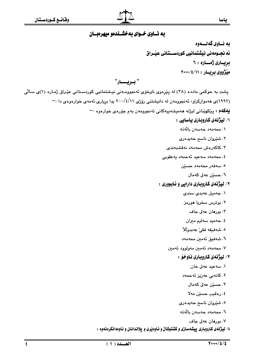

## به نساوي خسواي به خشسندهو ميهرهبسان

به نــاوي گهلــــهوه ئه نجــومهني نيشتمـانيي كوردســـتـاني عيْــراق بريسارى ژمساره : ٦ میژووی بریسار: ٢٠٠٠/٤/١١

" بويـــار"

یشت به حوکمی مادده (۳۸) له پیرِهوی ناوخوّی ئه نجوومـهنی نیـشتمانیی کوردسـتانی عیّـراق ژمـاره (۱)ی سـالّی (۱۹۹۲)ی هه موارکراو، ئه نجوومه ن له دانیشتنی رۆژی ۲۰۰۰/٤/۱۱ پدا بریاری ئه مه ی خوارهوه ی دا :-**يەكەم :** يێكهێنانى ليژنە ھەميشەپيەكانى ئەنجوومەن بەم جۆرەي خوارەوە :<sup>—</sup> ۰/ لیژنهی کاروباری یاسایی :

#### ٠١ محەمەد حەسەن يالەتە

- ۲. شێروان ناسح حەيدەرى
- ۰۳ كاكەرەش محەمەد نەقشىبەندى
- ٤. محەمەد سەعىد ئەجمەد پەغقوبى
	- ٥. سەڧەر محەمەد حسێن
		- ٦. حسٽن عهلي کهمال

#### ۲/ لیژنهي کاروباري دارايي و ئابووري :

- ۰۱ جەميل عەبدى سندى
- ٢. بوترس سخريا مورمز
	- ٠٣ بورهان عهلى جاف
- ٤. حەميد سەليم ميران
- ٥. شەفيقە فقىٰ عەبدولْلا
- ٦. شەڧىق ئەمىن محەمەد
- ٠٧ محەمەد ئەمين مەولوود ئەمين

#### ٢/ ليژنهي كاروباري ناوخوْ :

- ٠١ سەعيد عەلى خان
- ٢. كانەبى عەزيز ئەحمەد
	- ۰۳ حسێن عهلی کهمال
	- ٤. رەقىب حسێن مەلا
- ٥. شێروان ناسح حەيدەرى
- ٦. محەمەد حەسەن بالّەتە
	- ۰۷ بورهان عهلی جاف

٤/ ليژنمى كاروبارى ييشەسازى و كشتوكالْ و ئاودێرى و يلاندانان و ئاوەدانكردنەوە :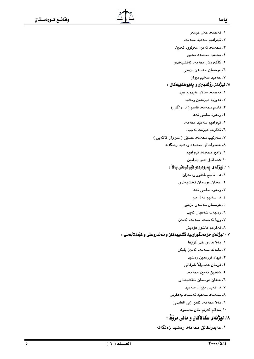- ١. ئەحمەد عەلى عومەر
- ٢. ئيبراهيم سەعيد محەمەد
- ۰۳ محەمەد ئەمىن مەولوود ئەمىن
	- ٤. سەعيد محەمەد سدىق
- ٥. كاكەرەش محەمەد نەقشىبەندى
	- ٦. عوسمان حەسەن دزەيى
		- ۰۷ حهمید سهلیم میران

## ه/ لیژنمی رؤشنبیری و یهیوهندییهکان :

- ۰۱ ئەحمەد سالار عەبدولواحيد
	- ٢. فەوزيە عيزەدىن رەشىد
- ۰۳ قاسم محەمەد قاسم ( د. رزگار )
	- ٤. زەھرە حاجى تەھا
	- ٥. ئيبراهيم سەعيد محەمەد
	- ٦. ئەكرەم عيزەت نەجيب
- ۷. سەرتىپ محەمەد حسێن ( سىروان كاكەبى )
	- ۸. عەبدولخالق محەمەد رەشىد زەنگەنە
		- ۹. زاھير محەمەد ئيبراھيم
		- ١٠. شەمائيل نەنو بنيامين

## ٦ / ليژنهى پهروهردمو فيْركردنى بالآ :

- ۰۱ . ناسح غەفور رەمەزان
- ٢. عەڧان عوسمان نەقشبەندى
	- ۴. زەھرە حاجى تەھا
	- ٤. د. سەليم عەلى ملو
	- ە. عوسمان حەسەن دزەيى
	- ٦. رەجەب شەعبان تەيب
- ٧. وريا ئەحمەد محەمەد ئەمىن
	- ۸. ئەكرەم عاشور عۆدىش

#### ۷ / لیژنمی خزمهتگوزارییه گشتییهکان و تهندروستی و کۆمهلایهتی :

- ٠١. مهلا هادي خدر كويْخا
- ۲. مامەند محەمەد ئەمىن بابكر
	- ۰۳ نیهاد نورهدین رهشید
	- ٤. فرحان عەبدوللا شرفانى
	- ٥. شەڧيق ئەمين محەمەد
- ٦. عەڧان عوسمان نەقشبەندى
	- ۰٫۰۷ قەيس دۆرالى سەعيد
- ٨. محەمەد سەعيد ئەحمەد يەعقوبى
	- ٩. مەلا محەمەد تاھىر زين العابدين
		- ١٠. سهلام كەريم خان مەحمود

# ٨/ ليژنهي سكالأكان و مافي مرؤﭬ :

۰۱ عەبدولخالق محەمەد رەشيد زەنگەنە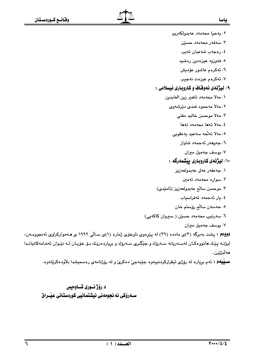ياسا ٢. يەحيا محەمەد عەبدولكەريم ۴. سەڧەر محەمەد حسێن ٤. رەجەب شەعبان تەيب ٥. فەوزيە عيزەدىن رەشىد ٦. ئەكرەم عاشور عۆدىش ٠٧ ئەكرەم عيزەت نەجيب ۹/ ليژنهي ئهوفاف و كاروباري ئيسلامي : ٠١ مهلا محهمهد تاهير زين العابدين ۲. مەلا مەحمود فندى دێرشەوى ٠٣ مهلا موحسن خاليد مفتى ٤. مەلا تەھا محەمەد تەھا ٥. مەلا تەلّحە سەعيد يەعقوبى ٦. جەۋھەر ئەجمەد شاۋاز ۰۷ یوسف جهمیل میران ۱۰/ لیژنهی کاروباری ییشمهرگه : ٠١ جەعفەر عەلى عەبدولعەزيز ٢. سواره محهمهد ئهمين ٠٣ موحسن سالّم عهبدولعهزيز (ئامێدى) ٤. يار ئەحمەد ئەفراسياب ٥. ﺣﻪﺳﻪﻥ ﺳﺎﯓﻢ ﺭﯙﺳﺘﻢ ﺧﺎﻥ .<br>٦. سەرتيپ محەمەد حسێن ( سیروان کاکەيي) ۰۷ یوسف جهمیل میران دووهم : پشت بهبرگه (٣)ی مادده (٣٩) له پێرهوی ناوخوّی ژماره (١)ی سـالّی ١٩٩٢ ی هـهموارکراوی ئهنجوومـهن، ليژنــه پێـك ماتووهكـان لهسـهريانه سـهرۆك و جێگـرى سـهرۆك و بږياردهرێـك بـۆ خۆيـان لــه نێـوان ئهندامهكانيانـدا مەلىژێرن. **ســيْيهم :** ئهم برياره له رۆژى ئيقراركردنييەوه جێبەجىٚ دەكرىٰ و له رۆژنامەي رەسميشدا بلاّودەكرێتەوە. د .رؤژ نسوري شساوهيس ســـهروْکی ئه نجومهنی نیشتمانیی کوردستانی عیّــراق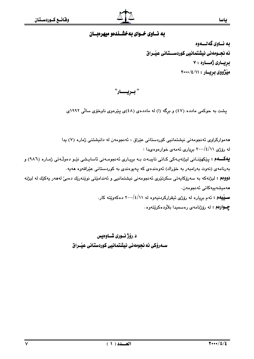## به نساوي خسواي به خشسندهو ميهرهبسان

به نــاوي گهلــــهوه ئه نجــومهني نيشتمانيي كوردســـتـاني عيْــراق بريسارى ژمساره : ٧ ميزووى بريسار: ٢٠٠٠/٤/١١

" بريـــار"

پشت به حوکمی مادده (٤٧) و برِگه (ا) له ماددهی (٤٨)ی پیّرهوی ناوخوّی سالّی ١٩٩٢ی

هەمواركراوي ئەنجومەنى نيشتمانيى كوردستانى عێراق ، ئەنجومەن لە دانيشتنى ژمارە (٧) يدا له رۆژى ٢٠٠٠/٤/١١ بريارى ئەمەي خوارەوەيدا : **يهكسهم :** پێكهێنـانى ليژنهيـهكى كـاتى تايبـهت بـه برِيـارى ئهنجومـهنى ئاسايـشى نێـو دهوڵـهتى ژمـاره (٩٨٦) و بەرنامەي (نەوت بەرامبەر بە خۆراك) ئەوەندەي كە پەيوەندى بە كوردستانى عێراقەوە ھەيە. **دووهم :** لیژنهکه به سهرۆکایەتی سکرتێری ئەنجومەنی نیشتمانیی و ئەندامێتی نوێنەرێك دەبیٚ لەھەر پەکێك لە لیژنە ھەميشەييەكانى ئەنجومەن. **سـينيهم: ئ**هم برِياره له رۆژى ئيقراركردنيهوه له ٢٠٠٠/٤/١١ دهكهوييّته كار. **چــوارهم :** له رۆژنامهى رەسمىدا بلاودەكرێتەوە.

> د .رؤژ نسوری شساوهیس ســهروکی ئه نجومهنی نیشتمانیی کوردستانی عیـّـراق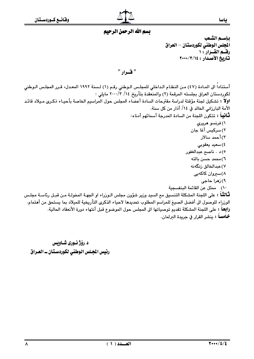

## تسم الله الرحمن الرحيم

" قسرار "

أستناداً الى المـادة (٤٧) مـن النظـام الـداخلي للمجلـس الـوطني رقـم (١) لـسنة ١٩٩٢ المعـدل، قـرر المجلـس الـوطني لكوردستان العراق بجلسته المرقمة (٢) والمنعقدة بتأريخ ١٤/ ٢٠٠٠/٣ مايلي : اولاً ؛ تشكيل لجنة مؤقتة لدراسة مقترحات السادة أعضاء المجلس حول المراسيم الخاصة بأحيـاء ذكـرى مـيلاد قائـد الأمة البارزاني الخالد في ١٤/ أذار من كل سنة. **ثَـانياً :** تتكون اللجنة من السادة المدرجة أسمائهم أدناه: ١) فرنسو هريري ٢) سركيس أغا جان ۳) أحمد سالار ٤) سعيد يعقوبي ٥) د . ناصح عبدالغفور ٦) محمد حسن بالته ۷) عبدالخالق زنگەنە ۸)سیروان کاکهیی ۹) زهرا حاجي ١٠) ممثل عن القائمة البنفسجية **ثَـالثـّا**ً : على اللجنة المشكلة التنسيق مم السيد وزير شؤون مجلس الـوزراء او الجهـة المخولـة مـن قبـل رئاسـة مجلـس الوزراء للوصول الى أفضل الصيغ للمراسم المطلوب تحديدها لاحياء الذكرى التأريخية للميلاد بما يستحق من أهتمام. رالِعاً : على اللجنة المشكلة تقديم توصياتها الى المجلس حول الموضوع قبل أنتهاء دورة الأنعقاد الحالية. خامساً : ينشر القرار في جريدة البرلمان.

د رۆژ نورى شـاويس رئيس المجلس الوطني لكوردستان ـ العراق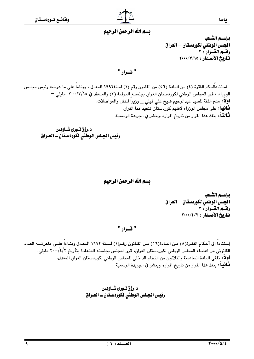## تسم الله الرحمن الرحيم

بإسسه الشعب المجلس الوطني لكوردستان – العراق رقسم القسرار : ٢ تاريخ الأصدار : ٢٠٠٠/٣/١٥

" فسرار "

استنادالحكم الفقرة (٤) من المادة (٥٦) من القانون رقم (١) لسنة١٩٩٢ المعدل ، وبناءاً على ما عرضه رئيس مجلس الوزراء ، قرر المجلس الوطني لكوردستان العراق بجلسته المرقمة (٣) والمنعقد في ٢٠٠٠/٣/١٥ مايلى: --اولاً : منح الثقة للسيد عبدالرحيم شيخ علي فيلي \_ وزيراً للنقل والمواصلات. **ثـّانيا :** على مجلس الوزراء لاقليم كوردستان تنفيذ هذا القرار. **ثَـالثـًا** : ينفذ هذا القرار من تاريخ اقراره وينشر في الجريدة الرسمية.

د .رۆژ نـورى شـاويس رئيس المجلس الوطني لكوردستان ــ العـراق

## بسم الله الرحمن الرحيم

باستم الشعب الجلس الوطني لكوردستان — العراق رقسم القيرار : ٣ تاريخ الأصدار : ٢٠٠٠/٤/٢٠٠٠

" قسرار "

إستناداً الى أحكام الفقـرة(٨) مـن المـادة(٥٦) مـن القـانون رقـم(١) لـسنة ١٩٩٢ المعـدل وبنـاءاً علــى ماعرضـه العـدد القانوني من اعضاء المجلس الوطني لكوردستان العراق، قرر المجلس بجلسته المنعقدة بتأريخ ٢/٤/٢-٢٠ مايلي: أولاً : تلغى المادة السادسة والثلاثون من النظام الداخلي للمجلس الوطني لكوردستان العراق المعدل. **ثَـانياً :** ينفذ هذا القرار من تاريخ اقراره وينشر في الجريدة الرسمية.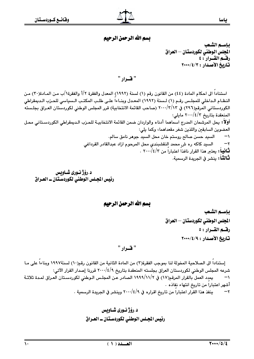# بسم الله الرحمن الرحيم

باستم الشعب الجلس الوطنى لكوردستان — العراق رقسم القسرار : ٤ تاريخ الأصدار : ٢٠٠٠/٤/٣

## " فسرار "

استناداً الى احكام المادة (٤٤) من القانون رقم (١) لسنة (١٩٩٢) المعدل والفقرة ٢/أ والفقرة١/ب مـن المـادة(٣٠) مـن النظـام الـداخلي للمجلـس رقـم (١) لـسنة (١٩٩٢) المعـدل وبنـاءاً علـى طلـب المكتـب الـسياسي للحـزب الـديمقراطي الكوردستاني المرقم(٢٩٦) في ٢٠٠٠/٣/١٣ (صاحب القائمة الانتخابية) قرر المجلس الوطني لكوردستان العـراق بجلـسته المنعقدة بتاريخ ٢٠٠٠/٤/٢ مايلي: أولاًً : يحل المرشحان المدرج اسماهما أدناه والواردان ضمن القائمة الانتخابيـة للحـزب الـديمقراطي الكوردسـتاني محـل

العضوين السابقين واللذين شغر مقعداهما، وكما يلي: السيد حسن صالح روستم خان محل السيد جوهر نامق سالم.  $\rightarrow$ السيد كاكه ره ش محمد النقشبندي محل المرحوم ازاد عبدالقادر القرداغى  $-\tau$ ثَّنَافَيْهَا : يعتبر هذا القرار نافذا اعتبارا من ٤/٢/٠٠٠/٤ . **ثَـالثَـا**ً : ينشر في الجريدة الرسمية.

د.رۆژ نورى شـاويس رئيس الجلس الوطني لكوردستان ــ العـراق

بسم الله الرحمن الرحيم

بإسسه الشعب المجلس الوطني لكوردستان – العراق رقسم القسرار : ٥ تاريخ الأصدار: ٢٠٠٠/٤/٩

## " قدرار "

إستنادا الى الصلاحية المخولة لنا بموجب الفقرة(٣) من المادة الثانية من القانون رقم(١٠) لسنة١٩٩٧ وبناءاً على مـا شرعه المجلس الوطني لكوردستان العراق بجلسته المنعقدة بتاريخ ٢٠٠٠/٤/٩ قررنا إصدار القرار الآتي: يمدد العمل بالقرار المرقم(١٧) في ١٩٩٩/١١/٢ الصادر عـن المجلـس الـوطني لكوردسـتان العـراق لمـدة ثلاثـة  $\rightarrow$ أشهر اعتبارا من تاريخ انتهاء نفاذه .

ينفذ هذا القرار اعتباراً من تاريخ اقراره في ٢٠٠٠/٤/٩ وينشر في الجريدة الرسمية .  $-\tau$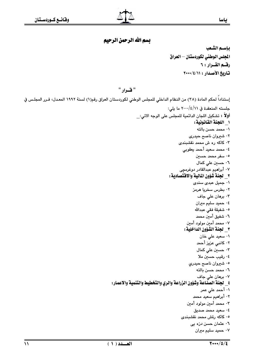# بسم الله الرحمن الرحيم

بإسسه الشعب المجلس الوطني لكوردستان – العراق رقسم القسرار: ٦ تاريخ الأصدار: ١١/١٤/٠٠٠

#### " قىرار "

إستناداً لحكم المادة (٣٨) من النظام الداخلي للمجلس الوطني لكوردستان العراق رقم(١) لسنة ١٩٩٢ المعـدل، قـرر المجلـس في جلسته المنعقدة في ٢٠٠٠/٤/١١ ما يلي: أولاً : تشكيل اللجان الدائمية للمجلس على الوجه الاتي: ١ اللجنة القانونية: ۰۱ محمد حسن بالته ۰۲ شیروان ناصح حیدری ۰۳ کاکه ره ش محمد نقشبندی ٤٠ محمد سعيد أحمد يعقوبي ۰۵ سفر محمد حسي*ن* ۰<mark>٦ حسين على كمال</mark> ۰۷ أبراهيم عبدالقادر دوغرمچى ٢\_ لجنة شؤون المالية والاقتصادية : ۰۱ جمیل عبدی سندی ۰۲ بطرس سخریا هرمز ۰۳ برهان على جاف ٤٠ حميد سليم ميران ٠٥ شفيقة فقى عبدالله ٠٦ شفيق أمين محمد ٠٧ محمد أمين مولود أمين ٣\_ لجنة الشؤون الداخلية : ۰۱ سعید علی خان ۰۲ کانبی عزیز أحمد ۰۳ حسی*ن* علی کمال ٤٠ رقيب حسين ملا ۰۵ شيروان ناصح حيدري ٠٦ محمد حسن بالته ۰۷ برهان علی جاف ٤ \_ لجنة الصناعة وشؤون الزراعة والري والتخطيط والتنمية والاعمار: ۰۱ أحمد على عمر ٠٢ أبراهيم سعيد محمد ۰۳ محمد أمين مولود أمين ٤٠ سعيد محمد صديق ۰۵ کاکه رةش محمد نقشبندی ٠٦ عثمان حسن دزه یی ۰۷ حمید سلیم میران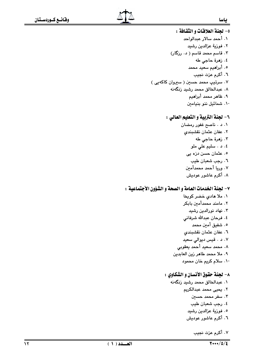## ٥- لحنة العلاقات و الثقافة : ٠١. أحمد سالار عبدالواحد ٢. فوزية عزالدين رشيد ۰۳ قاسم محمد قاسم ( د. رزگار) ٤. زهرة حاجي طه ٥. أبراهيم سعيد محمد ٦. أكرم عزت نجيب ۷. سرتيپ محمد حسين ( سيروان کاکهيی ) ۰۸ عبدالخالق محمد رشید زنگەنه ٩. ظاهر محمد أبراهيم ١٠. شمائيل ننو بنيامين

## ٦- لجنة التربية و التعليم العالي :

۰۱ د تاصح غفور رمضان ٢. عفان عثمان نقشبندي ٣. زهرة حاجي طه ٤. د . سليم على ملو ٥. عثمان حسن دزه یی ٦. رجب شعبان طيب ٧. وريا أحمد محمدأمين ۸. أكرم عاشور عوديش

## ٧- لجنة الخدمات العامة و الصحة و الشؤون الأجتماعية :

٠١. ملا هادى خضر كويخا ٢. مامند محمدأمین بابکر ۰۳ نهاد نورالدین رشید ٤. فرحان عبدالله شرفاني ٥. شفيق أمين محمد ٦. عفان عثمان نقشبندى ۰۷ د قیس دیوالی سعید ٨. محمد سعيد أحمد يعقوبي ٩. ملا محمد طاهر زين العابدين ١٠. سلام كريم خان محمود

## ٨- لحنة حقوق الأنسان و الشكاوي :

- ۰۱ عبدالخالق محمد رشید زنگهنه
	- ٢. يحيى محمد عبدالكريم
		- ۴. سفر محمد حسين
		- ٤. رجب شعبان طيب
		- ٥. فوزية عزالدين رشيد
		- ٦. أكرم عاشور عوديش
			- ٧. أكرم عزت نجيب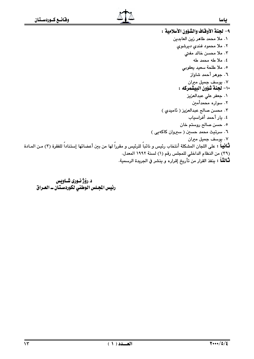٩- لجنة الأوقاف والشؤون الأسلامية : ٠١ ملا محمد طاهر زين العابدين ۲. ملا محمود فندی دیرشوی ۰۳ ملا محس*ن* خالد مفتي ٤. ملا طه محمد طه ٥. ملا طلحة سعيد يعقوبي ٦. جوهر أحمد شاواز ۰۷ یوسف جمیل میران ١٠- لجنة شؤون البيشمركه : ٠١ جعفر على عبدالعزيز ٢. سواره محمدأمين ٠٣ محسن صالح عبدالعزيز ( ئاميدى ) ٤. يار أحمد أفراسياب ٥. حسن صالح روستم خان ٦. سرتيث محمد حسين ( سيروان كاكهيى ) ٧. یوسف جمیل میران **ثـَّانيـاً :** على اللجان المشكلة أنتخاب رئيس و نائباً للرئيس و مقرراً لها من بين أعضائها إستناداً للفقرة (٣) مـن المـادة (٣٩) من النظام الداخلي للمجلس رقم (١) لسنة ١٩٩٢ المعدل. لْتَـالثُـاً : ينفذ القرار من تأريخ إقراره و ينشر في الجريدة الرسمية.

د .رۆژ نـورى شـاويس رئيس المجلس الوطني لكوردستان ـ العراق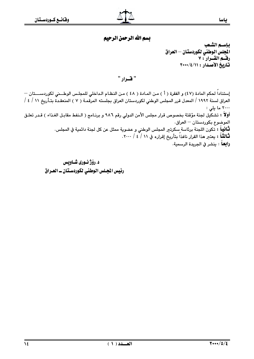# بسم الله الرحمن الرحيم

ياسيم الشّعب المجلس الوطنى لكوردستان — العراق رقسم القسرار: ٧ تاريخ الأصدار: ٢٠٠٠/٤/١١

# " فسرار "

إستناداً لحكم المادة (٤٧) و الفقرة ( أ ) مـن المـادة ( ٤٨ ) مـن النظـام الـداخلي للمجلـس الوطـــني لكوردســــتان — العراق لسنة ١٩٩٢ / المعدل قرر المجلس الوطني لكوردستان العراق بجلسته المرقمـة ( ٧ ) المنعقـدة بتـأريخ ١١ / ٤ / ٢٠٠٠ ما يلي : أولاً : تشكيل لجنة مؤقتة بخصوص قرار مجلس الأمن الدولي رقم ٩٨٦ و برنـامج ( الـنفط مقابـل الغـذاء ) قـدر تعلـق الموضوع بكوردستان - العراق. **ثْـانياً :** تكون اللجنة برئاسة سكرتـر المجلس الوطني و عضوية ممثل عن كل لجنة دائمية في المجلس. لْتَالِمْتُهُ : يعتبر هذا القرار نافذاً بتأريخ إقراره في ١١ / ٤ / ٢٠٠٠. **رابعا**ً : ينشر ڧ الجريدة الرسمية.

> د.رۆژنـورى شـاوىس رئيس المجلس الوطني لكوردستان ــ العـراق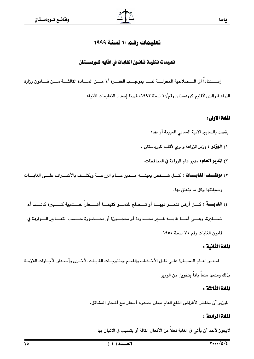## تعليمات رقم /١ لسنة ١٩٩٩

## تعليمات تنفيـــذ قـانـــون الغـابــات في افـليم كــوردســـتـان

إســـتناداً الى الـــصلاحية المخولـــة لنـــا بموجـــب الفقـــرة /١ مـــن المـــادة الثالثـــة مـــن قـــانون وزارة الزراعـة والري لآقليم كوردستان رقم/١٠ لسنة ١٩٩٢، قررنا إصدار التعليمات الآتية:

#### المادة الاولى:

- يقصد بالتعابير الآتية المعانى المبينة أزاءها:
- ١) **الوزبر :** وزير الزراعة والري لآقليم كوردستان .
	- ٢) **المدير العام:** مدير عام الزراعة في المحافظات.
- ٣) **موظــف الغابــات :** كــل شــخص يعينـــه مــدير عــام الزراعـــة ويكلــف بالأشـــراف علـــى الغابـــات وصبانتها وكل ما يتعلق بها.
	- ٤) ا**لغانسة** : كسل أرض تنمسو فيهسا أو تسميلح للنمسو كثيفيا أشسحاراً خسشيبة كسيبيرة كانست أم

قانون الغايات رقم ٧٥ لسنة ١٩٥٥.

#### المادة الثانية :

لمدير العـام الـسيطرة علـى نقـل الأخـشاب والفحـم ومنتوجـات الغابـات الأخـري وأصـدار الأجـازات اللازمــة بذلك ومنعها منعاً باتاً بتخويل من الوزير.

#### المادة الثالثة :

للوزير أن يخفض لأغراض النفع العام ببيان يصدره أسعار بيع أشجار المشاتل.

## المادة الرابعة :

لايجوز لأحد أن يأتي في الغابة فعلاً من الأفعال التالة أو يتسبب في الاتيان بها :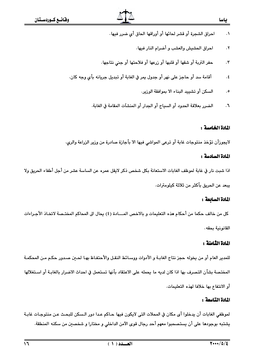- احراق الشجرة أو قشر لحائها أو أوراقها الحاق أي ضرر فيها .  $\cdot$ 
	- احراق الحشيش والعشب و أضرام النار فيها.  $\cdot$ ٢
- حفر التربة أو شقها أو قلبها أو زرعها أو فلاحتها أو جنى نتاجها.  $\cdot$ ٣
- أقامة سد أو حاجز على نهر أو جدول يمر في الغابة أو تبديل جريانه بأي وجه كان.  $\cdot$  ٤
	- السكن أو تشييد البناء الا يموافقة الوزير.  $\cdot$  0
	- الضرر بعلاقة الحدود أو السياج أو الجدار أو المنشآت المقامة في الغابة.  $\cdot$

#### المادة الخامسة :

لايجوزأن تؤخذ منتوجات غابة أو ترعى المواشى فيها الا بأجازة صادرة من وزير الزراعة والرى.

#### المادة السادسة :

اذا شبت نار في غابة لموظف الغابات الاستعانة بكل شخص ذكر لايقل عمره عن الساسة عشر من أجل أطفاء الحريق ولا بيعد عن الحريق بأكثر من ثلاثة كبلومترات.

#### المادة السابعة :

كل من خالف حكما من أحكام هذه التعليمات و بالاخص المـــادة (٤) يحال الى المحاكم المختـصة لاتخـاذ الأجـراءات القانونية بحقه.

#### المادة الثامنة :

للمدير العام أو من يخوله حجز نتاج الغابـة و الأدوات ووسـائط النقـل والأحتفـاظ بهـا لحـين صـدور حكـم مـن المحكمـة المختصة بشأن التصرف بها اذا كان لديه ما يحمله على الاعتقاد بأنها تستعمل في احداث الاضرار بالغابـة أو اسـتغلالها أو الانتفاع بها خلافا لهذه التعليمات.

#### المادة التاسعة :

لموظفي الغابات أن يدخلوا أي مكان في المحلات التي لايكون فيها حـاكم عـدا دور الـسكن للبحـث عـن منتوجـات غابـة يشتبه بوجودها على أن يستصحبوا معهم أحد رجال قوى الآمن الداخلي و مختارا و شخصىن من سكنه المنطقة.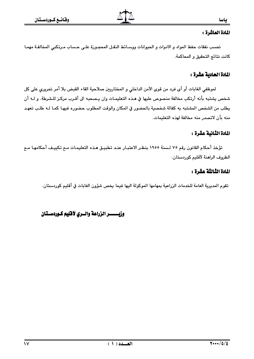#### المادة العاشرة :

تحسب نفقات حفظ المواد و الادوات و الحيوانات ووسـائط النقـل المحجـورة علـى حـساب مـرتكبي المخالفـة مهمـا كانت نتائج التحقيق و المحاكمة.

## المادة الحادية عشرة :

لموظفى الغابات أو أي فرد من قوى الآمن الداخلي و المختاريين صلاحية القاء القبض بلا أمر تحريري على كل شخص يشتبه بأنه أرتكب مخالفة منصوص عليها في هـذه التعليمـات وان يـصحبه الى أقـرب مركـز للـشرطة. و لــه أن يطلب من الشخص المشتبه به كفالة شخصية بالحضور في المكان والوقت المطلوب حضوره فيهـا كمـا لـه طلـب تعهـد منه بأن لاتصدر منه مخالفة لهذه التعليمات.

# المادة الثانية عشرة :

تؤخذ أحكام القانون رقم ٧٥ لسنة ١٩٥٥ بنظر الاعتبـار عنـد تطبيـق هـذه التعليمـات مـم تكييـف أحكامهـا مـم الظروف الراهنة لآقليم كوردستان.

#### المادة الثالثة عشرة :

تقوم المديرية العامة للخدمات الزراعية بمهامها الموكولة اليها فيما يخص شؤون الغابات في أقليم كوردستان.

## وزبستسر الزراعة والسرى لأفليم كتودستتان